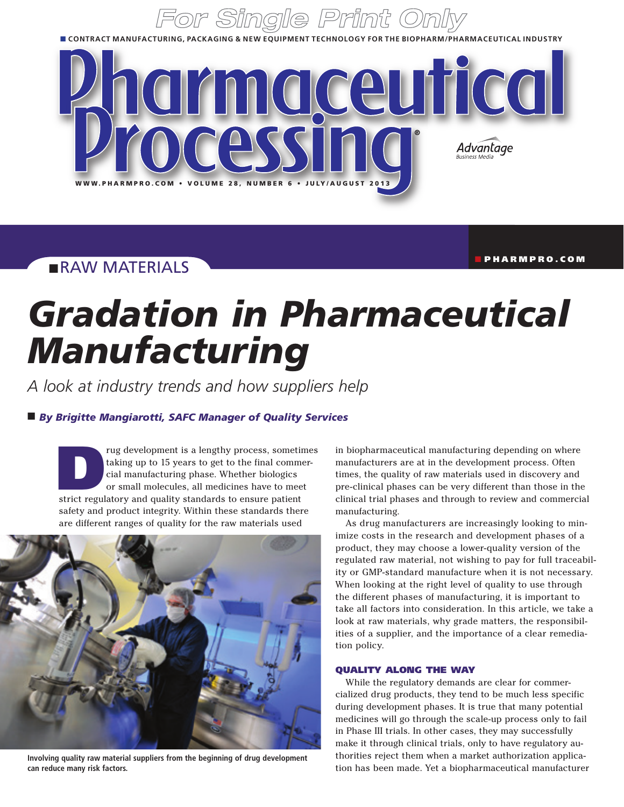■ **contract manufacturing, packaging & New equipment Technology For The Biopharm/Pharmaceutical industry**



## **RAW MATERIALS**

n pharmpro.com

# *Gradation in Pharmaceutical Manufacturing*

*A look at industry trends and how suppliers help*

## $\blacksquare$  By Brigitte Mangiarotti, SAFC Manager of Quality Services

rug development is a lengthy process, sometimes<br>
taking up to 15 years to get to the final commer-<br>
cial manufacturing phase. Whether biologics<br>
or small molecules, all medicines have to meet<br>
strict regulatory and quality taking up to 15 years to get to the final commercial manufacturing phase. Whether biologics or small molecules, all medicines have to meet safety and product integrity. Within these standards there are different ranges of quality for the raw materials used



**Involving quality raw material suppliers from the beginning of drug development can reduce many risk factors.**

in biopharmaceutical manufacturing depending on where manufacturers are at in the development process. Often times, the quality of raw materials used in discovery and pre-clinical phases can be very different than those in the clinical trial phases and through to review and commercial manufacturing.

As drug manufacturers are increasingly looking to minimize costs in the research and development phases of a product, they may choose a lower-quality version of the regulated raw material, not wishing to pay for full traceability or GMP-standard manufacture when it is not necessary. When looking at the right level of quality to use through the different phases of manufacturing, it is important to take all factors into consideration. In this article, we take a look at raw materials, why grade matters, the responsibilities of a supplier, and the importance of a clear remediation policy.

## Quality along the way

While the regulatory demands are clear for commercialized drug products, they tend to be much less specific during development phases. It is true that many potential medicines will go through the scale-up process only to fail in Phase III trials. In other cases, they may successfully make it through clinical trials, only to have regulatory authorities reject them when a market authorization application has been made. Yet a biopharmaceutical manufacturer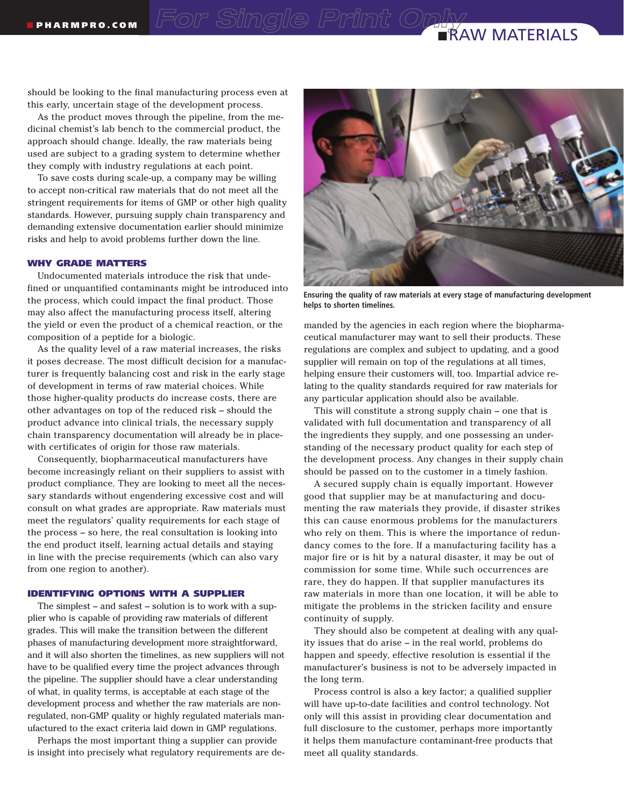## **RAW MATERIALS**

should be looking to the final manufacturing process even at this early, uncertain stage of the development process.

As the product moves through the pipeline, from the medicinal chemist's lab bench to the commercial product, the approach should change. Ideally, the raw materials being used are subject to a grading system to determine whether they comply with industry regulations at each point.

To save costs during scale-up, a company may be willing to accept non-critical raw materials that do not meet all the stringent requirements for items of GMP or other high quality standards. However, pursuing supply chain transparency and demanding extensive documentation earlier should minimize risks and help to avoid problems further down the line.

## Why grade matters

Undocumented materials introduce the risk that undefined or unquantified contaminants might be introduced into the process, which could impact the final product. Those may also affect the manufacturing process itself, altering the yield or even the product of a chemical reaction, or the composition of a peptide for a biologic.

As the quality level of a raw material increases, the risks it poses decrease. The most difficult decision for a manufacturer is frequently balancing cost and risk in the early stage of development in terms of raw material choices. While those higher-quality products do increase costs, there are other advantages on top of the reduced risk – should the product advance into clinical trials, the necessary supply chain transparency documentation will already be in placewith certificates of origin for those raw materials.

Consequently, biopharmaceutical manufacturers have become increasingly reliant on their suppliers to assist with product compliance. They are looking to meet all the necessary standards without engendering excessive cost and will consult on what grades are appropriate. Raw materials must meet the regulators' quality requirements for each stage of the process – so here, the real consultation is looking into the end product itself, learning actual details and staying in line with the precise requirements (which can also vary from one region to another).

## Identifying options with a supplier

The simplest – and safest – solution is to work with a supplier who is capable of providing raw materials of different grades. This will make the transition between the different phases of manufacturing development more straightforward, and it will also shorten the timelines, as new suppliers will not have to be qualified every time the project advances through the pipeline. The supplier should have a clear understanding of what, in quality terms, is acceptable at each stage of the development process and whether the raw materials are nonregulated, non-GMP quality or highly regulated materials manufactured to the exact criteria laid down in GMP regulations.

Perhaps the most important thing a supplier can provide is insight into precisely what regulatory requirements are de-



**Ensuring the quality of raw materials at every stage of manufacturing development helps to shorten timelines.**

manded by the agencies in each region where the biopharmaceutical manufacturer may want to sell their products. These regulations are complex and subject to updating, and a good supplier will remain on top of the regulations at all times, helping ensure their customers will, too. Impartial advice relating to the quality standards required for raw materials for any particular application should also be available.

This will constitute a strong supply chain – one that is validated with full documentation and transparency of all the ingredients they supply, and one possessing an understanding of the necessary product quality for each step of the development process. Any changes in their supply chain should be passed on to the customer in a timely fashion.

A secured supply chain is equally important. However good that supplier may be at manufacturing and documenting the raw materials they provide, if disaster strikes this can cause enormous problems for the manufacturers who rely on them. This is where the importance of redundancy comes to the fore. If a manufacturing facility has a major fire or is hit by a natural disaster, it may be out of commission for some time. While such occurrences are rare, they do happen. If that supplier manufactures its raw materials in more than one location, it will be able to mitigate the problems in the stricken facility and ensure continuity of supply.

They should also be competent at dealing with any quality issues that do arise – in the real world, problems do happen and speedy, effective resolution is essential if the manufacturer's business is not to be adversely impacted in the long term.

Process control is also a key factor; a qualified supplier will have up-to-date facilities and control technology. Not only will this assist in providing clear documentation and full disclosure to the customer, perhaps more importantly it helps them manufacture contaminant-free products that meet all quality standards.